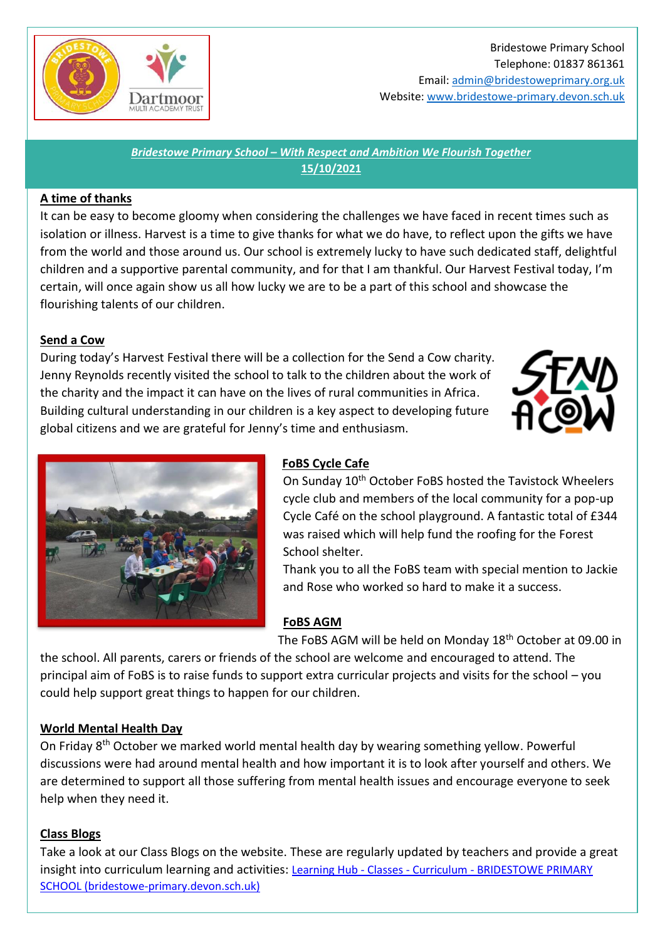

## Bridestowe Primary School Telephone: 01837 861361

Email[: admin@bridestoweprimary.org.uk](mailto:admin@bridestoweprimary.org.uk) Website: [www.bridestowe-primary.devon.sch.uk](http://www.bridestowe-primary.devon.sch.uk/)

*Bridestowe Primary School – With Respect and Ambition We Flourish Together* **15/10/2021**

## **A time of thanks**

It can be easy to become gloomy when considering the challenges we have faced in recent times such as isolation or illness. Harvest is a time to give thanks for what we do have, to reflect upon the gifts we have from the world and those around us. Our school is extremely lucky to have such dedicated staff, delightful children and a supportive parental community, and for that I am thankful. Our Harvest Festival today, I'm certain, will once again show us all how lucky we are to be a part of this school and showcase the flourishing talents of our children.

## **Send a Cow**

During today's Harvest Festival there will be a collection for the Send a Cow charity. Jenny Reynolds recently visited the school to talk to the children about the work of the charity and the impact it can have on the lives of rural communities in Africa. Building cultural understanding in our children is a key aspect to developing future global citizens and we are grateful for Jenny's time and enthusiasm.





# **FoBS Cycle Cafe**

On Sunday 10<sup>th</sup> October FoBS hosted the Tavistock Wheelers cycle club and members of the local community for a pop-up Cycle Café on the school playground. A fantastic total of £344 was raised which will help fund the roofing for the Forest School shelter.

Thank you to all the FoBS team with special mention to Jackie and Rose who worked so hard to make it a success.

# **FoBS AGM**

The FoBS AGM will be held on Monday 18th October at 09.00 in

the school. All parents, carers or friends of the school are welcome and encouraged to attend. The principal aim of FoBS is to raise funds to support extra curricular projects and visits for the school – you could help support great things to happen for our children.

## **World Mental Health Day**

On Friday 8<sup>th</sup> October we marked world mental health day by wearing something yellow. Powerful discussions were had around mental health and how important it is to look after yourself and others. We are determined to support all those suffering from mental health issues and encourage everyone to seek help when they need it.

## **Class Blogs**

Take a look at our Class Blogs on the website. These are regularly updated by teachers and provide a great insight into curriculum learning and activities: Learning Hub - Classes - Curriculum - [BRIDESTOWE PRIMARY](https://www.bridestowe-primary.devon.sch.uk/learning-hub.html)  [SCHOOL \(bridestowe-primary.devon.sch.uk\)](https://www.bridestowe-primary.devon.sch.uk/learning-hub.html)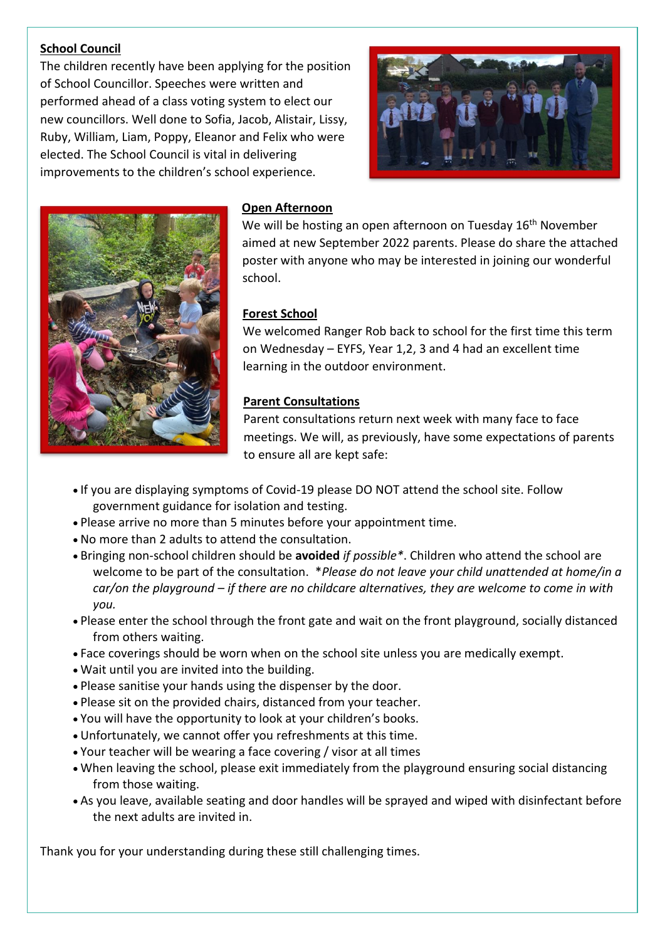## **School Council**

The children recently have been applying for the position of School Councillor. Speeches were written and performed ahead of a class voting system to elect our new councillors. Well done to Sofia, Jacob, Alistair, Lissy, Ruby, William, Liam, Poppy, Eleanor and Felix who were elected. The School Council is vital in delivering improvements to the children's school experience.





### **Open Afternoon**

We will be hosting an open afternoon on Tuesday 16<sup>th</sup> November aimed at new September 2022 parents. Please do share the attached poster with anyone who may be interested in joining our wonderful school.

### **Forest School**

We welcomed Ranger Rob back to school for the first time this term on Wednesday – EYFS, Year 1,2, 3 and 4 had an excellent time learning in the outdoor environment.

## **Parent Consultations**

Parent consultations return next week with many face to face meetings. We will, as previously, have some expectations of parents to ensure all are kept safe:

- If you are displaying symptoms of Covid-19 please DO NOT attend the school site. Follow government guidance for isolation and testing.
- Please arrive no more than 5 minutes before your appointment time.
- No more than 2 adults to attend the consultation.
- Bringing non-school children should be **avoided** *if possible\**. Children who attend the school are welcome to be part of the consultation. \**Please do not leave your child unattended at home/in a car/on the playground – if there are no childcare alternatives, they are welcome to come in with you.*
- Please enter the school through the front gate and wait on the front playground, socially distanced from others waiting.
- Face coverings should be worn when on the school site unless you are medically exempt.
- Wait until you are invited into the building.
- Please sanitise your hands using the dispenser by the door.
- Please sit on the provided chairs, distanced from your teacher.
- You will have the opportunity to look at your children's books.
- Unfortunately, we cannot offer you refreshments at this time.
- Your teacher will be wearing a face covering / visor at all times
- When leaving the school, please exit immediately from the playground ensuring social distancing from those waiting.
- As you leave, available seating and door handles will be sprayed and wiped with disinfectant before the next adults are invited in.

Thank you for your understanding during these still challenging times.